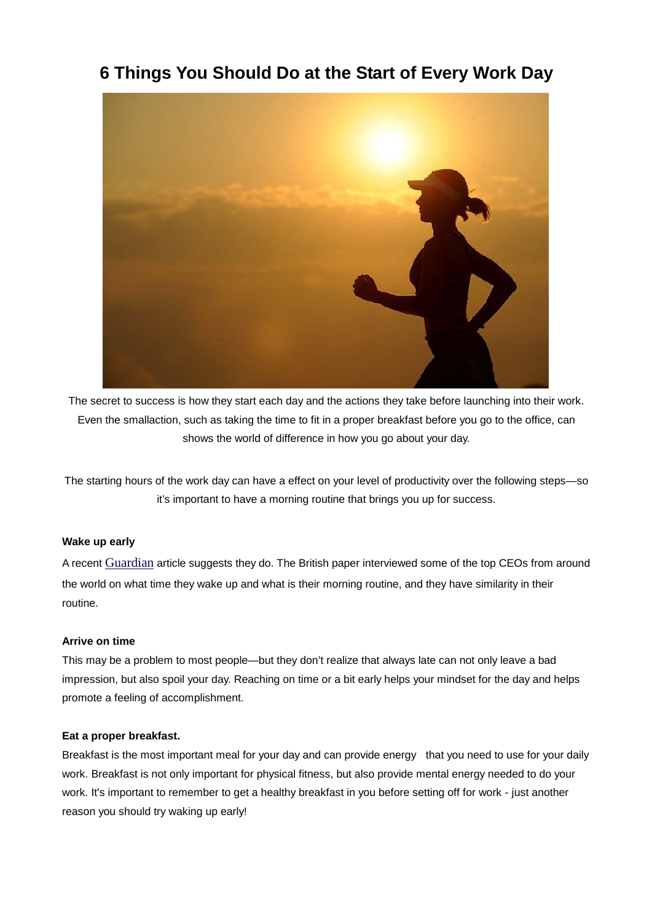# **6 Things You Should Do at the Start of Every Work Day**



The secret to success is how they start each day and the actions they take before launching into their work. Even the smallaction, such as taking the time to fit in a proper breakfast before you go to the office, can shows the world of difference in how you go about your day.

The starting hours of the work day can have a effect on your level of productivity over the following steps—so it's important to have a morning routine that brings you up for success.

# **Wake up early**

A recent Guardian article suggests they do. The British paper interviewed some of the top CEOs from around the world on what time they wake up and what is their morning routine, and they have similarity in their routine.

## **Arrive on time**

This may be a problem to most people—but they don't realize that always late can not only leave a bad impression, but also spoil your day. Reaching on time or a bit early helps your mindset for the day and helps promote a feeling of accomplishment.

## **Eat a proper breakfast.**

Breakfast is the most important meal for your day and can provide energy that you need to use for your daily work. Breakfast is not only important for physical fitness, but also provide mental energy needed to do your work. It's important to remember to get a healthy breakfast in you before setting off for work - just another reason you should try waking up early!